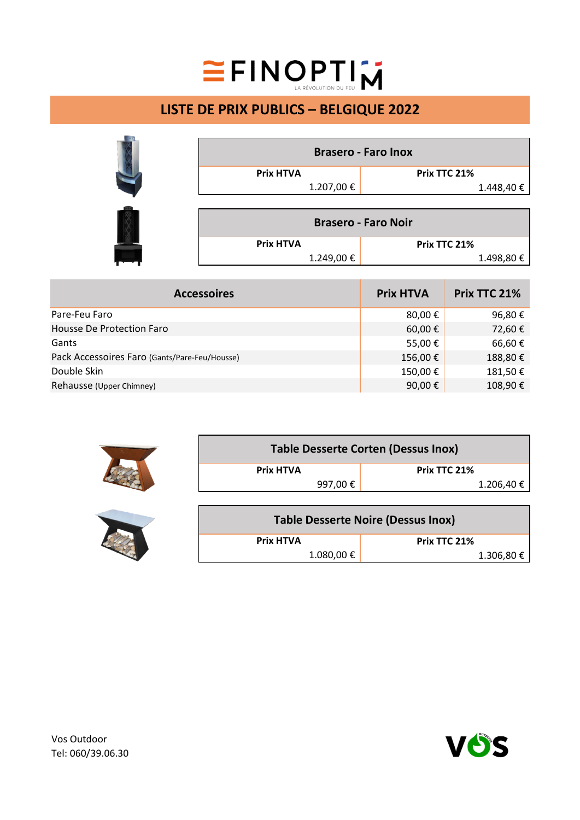## EINOPTIM

## **LISTE DE PRIX PUBLICS – BELGIQUE 2022**

|                            | <b>Brasero - Faro Inox</b> |  |
|----------------------------|----------------------------|--|
| <b>Prix HTVA</b>           | Prix TTC 21%               |  |
| 1.207,00 €                 | 1.448,40€                  |  |
|                            |                            |  |
| <b>Brasero - Faro Noir</b> |                            |  |
| <b>Prix HTVA</b>           | Prix TTC 21%               |  |
| 1.249,00€                  | 1.498,80 €                 |  |

| <b>Accessoires</b>                            | <b>Prix HTVA</b> | Prix TTC 21% |
|-----------------------------------------------|------------------|--------------|
| Pare-Feu Faro                                 | 80,00 €          | 96,80€       |
| Housse De Protection Faro                     | 60,00 €          | 72,60€       |
| Gants                                         | 55,00€           | 66,60€       |
| Pack Accessoires Faro (Gants/Pare-Feu/Housse) | 156,00€          | 188,80€      |
| Double Skin                                   | 150,00€          | 181,50€      |
| Rehausse (Upper Chimney)                      | 90,00 €          | 108,90€      |

|  | <b>Table Desserte Corten (Dessus Inox)</b> |                   |
|--|--------------------------------------------|-------------------|
|  | <b>Prix HTVA</b>                           | Prix TTC 21%      |
|  | 997,00 €                                   | $1.206,40 \notin$ |
|  |                                            |                   |

| <b>Table Desserte Noire (Dessus Inox)</b> |              |  |  |  |
|-------------------------------------------|--------------|--|--|--|
| <b>Prix HTVA</b>                          | Prix TTC 21% |  |  |  |
| 1.080,00 €                                | 1.306,80 €   |  |  |  |